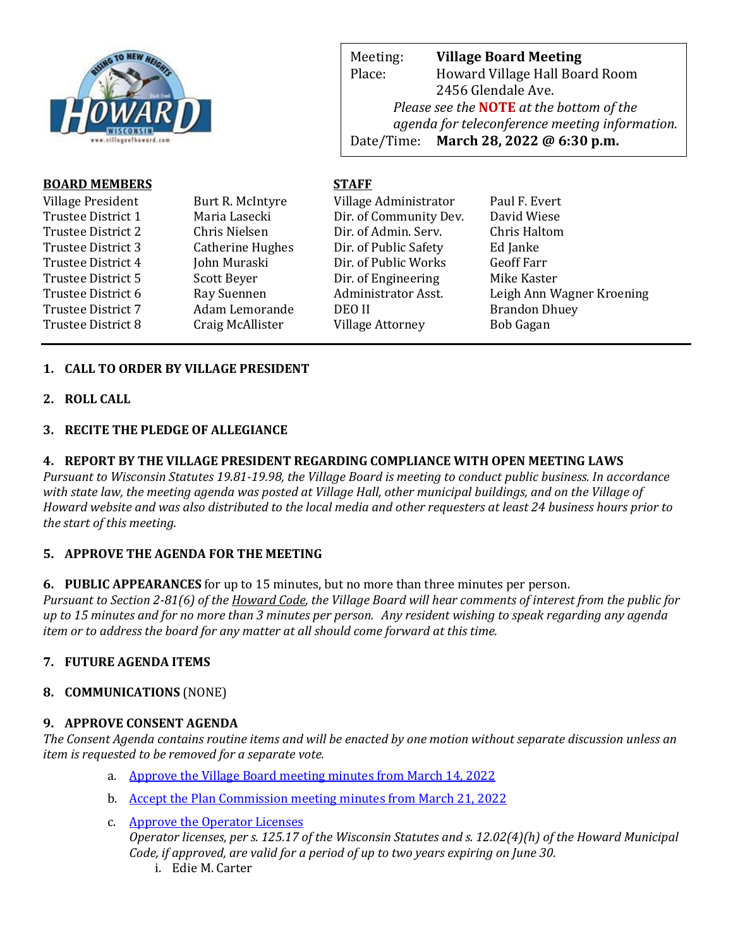

Meeting: **Village Board Meeting** Place: Howard Village Hall Board Room 2456 Glendale Ave. *Please see the* **NOTE** *at the bottom of the agenda for teleconference meeting information.*  Date/Time: **March 28, 2022 @ 6:30 p.m.**

web Page: www.villageoff.com

# **BOARD MEMBERS STAFF**

| Village President<br>Trustee District 1<br>Trustee District 2<br>Trustee District 3<br>Trustee District 4<br>Trustee District 5<br>Trustee District 6 | Burt R. McIntyre<br>Maria Lasecki<br>Chris Nielsen<br><b>Catherine Hughes</b><br>John Muraski<br>Scott Beyer<br>Ray Suennen | Village Administrator<br>Dir. of Community Dev.<br>Dir. of Admin. Serv.<br>Dir. of Public Safety<br>Dir. of Public Works<br>Dir. of Engineering<br>Administrator Asst.<br>DEO II | Paul F. Evert<br>David Wiese<br>Chris Haltom<br>Ed Janke<br><b>Geoff Farr</b><br>Mike Kaster<br>Leigh Ann Wagner Kroening |
|-------------------------------------------------------------------------------------------------------------------------------------------------------|-----------------------------------------------------------------------------------------------------------------------------|----------------------------------------------------------------------------------------------------------------------------------------------------------------------------------|---------------------------------------------------------------------------------------------------------------------------|
| Trustee District 7                                                                                                                                    | Adam Lemorande                                                                                                              | <b>Village Attorney</b>                                                                                                                                                          | <b>Brandon Dhuey</b>                                                                                                      |
| Trustee District 8                                                                                                                                    | Craig McAllister                                                                                                            |                                                                                                                                                                                  | <b>Bob Gagan</b>                                                                                                          |

# **1. CALL TO ORDER BY VILLAGE PRESIDENT**

**2. ROLL CALL**

## **3. RECITE THE PLEDGE OF ALLEGIANCE**

### **4. REPORT BY THE VILLAGE PRESIDENT REGARDING COMPLIANCE WITH OPEN MEETING LAWS**

*Pursuant to Wisconsin Statutes 19.81-19.98, the Village Board is meeting to conduct public business. In accordance with state law, the meeting agenda was posted at Village Hall, other municipal buildings, and on the Village of Howard website and was also distributed to the local media and other requesters at least 24 business hours prior to the start of this meeting.* 

## **5. APPROVE THE AGENDA FOR THE MEETING**

**6. PUBLIC APPEARANCES** for up to 15 minutes, but no more than three minutes per person.

*Pursuant to Section 2-81(6) of the Howard Code, the Village Board will hear comments of interest from the public for up to 15 minutes and for no more than 3 minutes per person. Any resident wishing to speak regarding any agenda item or to address the board for any matter at all should come forward at this time.* 

## **7. FUTURE AGENDA ITEMS**

## **8. COMMUNICATIONS** (NONE)

#### **9. APPROVE CONSENT AGENDA**

*The Consent Agenda contains routine items and will be enacted by one motion without separate discussion unless an item is requested to be removed for a separate vote.*

- a. [Approve the Village Board meeting minutes from March 14, 2022](https://www.villageofhoward.com/DocumentCenter/View/8215/9a-VB-Minutes-03-14-22)
- b. [Accept the Plan Commission meeting minutes from March 21, 2022](https://www.villageofhoward.com/DocumentCenter/View/8216/9b-PC-Minutes-03-21-22)
- c. [Approve the Operator Licenses](https://www.villageofhoward.com/DocumentCenter/View/8217/9c-Operators-Licenses) *Operator licenses, per s. 125.17 of the Wisconsin Statutes and s. 12.02(4)(h) of the Howard Municipal Code, if approved, are valid for a period of up to two years expiring on June 30.* i. Edie M. Carter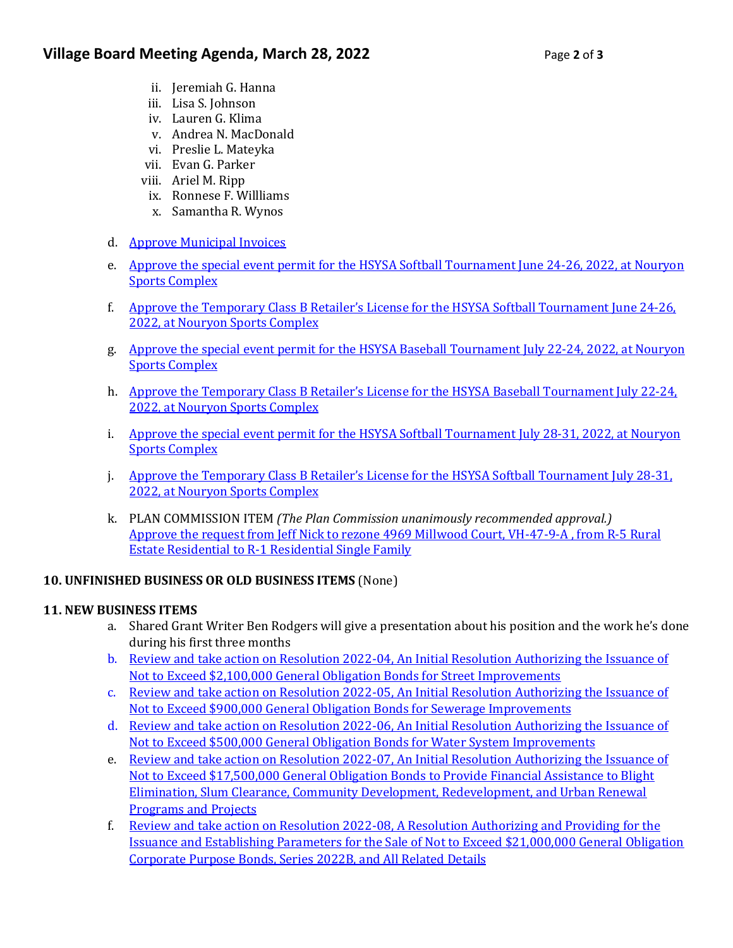- ii. Jeremiah G. Hanna
- iii. Lisa S. Johnson
- iv. Lauren G. Klima
- v. Andrea N. MacDonald
- vi. Preslie L. Mateyka
- vii. Evan G. Parker
- viii. Ariel M. Ripp
- ix. Ronnese F. Willliams
- x. Samantha R. Wynos
- d. [Approve Municipal Invoices](https://www.villageofhoward.com/DocumentCenter/View/8218/9d-Municipal-Invoices)
- e. [Approve the special event permit for the HSYSA Softball Tournament June 24-26, 2022,](https://www.villageofhoward.com/DocumentCenter/View/8219/9e-HSYSA-softball-tournament-June-24-26) at Nouryon [Sports Complex](https://www.villageofhoward.com/DocumentCenter/View/8219/9e-HSYSA-softball-tournament-June-24-26)
- f. [Approve the Temporary Class B Retailer's License for](https://www.villageofhoward.com/DocumentCenter/View/8220/9f-HSYSA-retailer-license-June-24-26) the HSYSA Softball Tournament June 24-26, 2022, [at Nouryon Sports Complex](https://www.villageofhoward.com/DocumentCenter/View/8220/9f-HSYSA-retailer-license-June-24-26)
- g. [Approve the special event permit for the HSYSA Baseball](https://www.villageofhoward.com/DocumentCenter/View/8221/9g-HSYSA-baseball-tournament-July-22-24) Tournament July 22-24, 2022, at Nouryon [Sports Complex](https://www.villageofhoward.com/DocumentCenter/View/8221/9g-HSYSA-baseball-tournament-July-22-24)
- h. [Approve the Temporary Class B Retailer's License for the HSYSA](https://www.villageofhoward.com/DocumentCenter/View/8222/9h-HSYSA-retailer-license-July-22-24) Baseball Tournament July 22-24, 2022, [at Nouryon Sports Complex](https://www.villageofhoward.com/DocumentCenter/View/8222/9h-HSYSA-retailer-license-July-22-24)
- i. [Approve the special event permit for the HSYSA Softball Tournament July 28-31, 2022,](https://www.villageofhoward.com/DocumentCenter/View/8223/9i-HSYSA-softball-tournament-July-28-31) at Nouryon [Sports Complex](https://www.villageofhoward.com/DocumentCenter/View/8223/9i-HSYSA-softball-tournament-July-28-31)
- j. [Approve the Temporary Class B Retailer's License for the HSYSA Softball Tournament](https://www.villageofhoward.com/DocumentCenter/View/8224/9j-HSYSA-retailer-license-July-28-31) July 28-31, [2022, at Nouryon Sports Complex](https://www.villageofhoward.com/DocumentCenter/View/8224/9j-HSYSA-retailer-license-July-28-31)
- k. PLAN COMMISSION ITEM *(The Plan Commission unanimously recommended approval.)* [Approve the request from Jeff Nick to rezone 4969 Millwood Court, VH-47-9-A , from R-5 Rural](https://www.villageofhoward.com/DocumentCenter/View/8225/9k-Nick-Millwood-Court-rezoning)  [Estate Residential to R-1 Residential Single Family](https://www.villageofhoward.com/DocumentCenter/View/8225/9k-Nick-Millwood-Court-rezoning)

## **10. UNFINISHED BUSINESS OR OLD BUSINESS ITEMS** (None)

## **11. NEW BUSINESS ITEMS**

- a. Shared Grant Writer Ben Rodgers will give a presentation about his position and the work he's done during his first three months
- b. [Review and take action on Resolution 2022-04, An Initial Resolution Authorizing the](https://www.villageofhoward.com/DocumentCenter/View/8226/11b-11f-Resolutions-for-TIF-8-borrowing) Issuance of Not to Exceed [\\$2,100,000 General Obligation Bonds](https://www.villageofhoward.com/DocumentCenter/View/8226/11b-11f-Resolutions-for-TIF-8-borrowing) for Street Improvements
- c. [Review and take action on Resolution 2022-05, An Initial Resolution Authorizing the](https://www.villageofhoward.com/DocumentCenter/View/8226/11b-11f-Resolutions-for-TIF-8-borrowing) Issuance of Not to Exceed [\\$900,000 General Obligation Bonds](https://www.villageofhoward.com/DocumentCenter/View/8226/11b-11f-Resolutions-for-TIF-8-borrowing) for Sewerage Improvements
- d. [Review and take action on Resolution 2022-06, An Initial Resolution Authorizing the](https://www.villageofhoward.com/DocumentCenter/View/8226/11b-11f-Resolutions-for-TIF-8-borrowing) Issuance of Not to Exceed [\\$500,000 General Obligation Bonds](https://www.villageofhoward.com/DocumentCenter/View/8226/11b-11f-Resolutions-for-TIF-8-borrowing) for Water System Improvements
- e. [Review and take action on Resolution 2022-07, An Initial Resolution Authorizing the](https://www.villageofhoward.com/DocumentCenter/View/8226/11b-11f-Resolutions-for-TIF-8-borrowing) Issuance of Not to Exceed \$17,500,000 General Obligation Bonds [to Provide Financial Assistance to Blight](https://www.villageofhoward.com/DocumentCenter/View/8226/11b-11f-Resolutions-for-TIF-8-borrowing)  [Elimination, Slum Clearance, Community Development, Redevelopment, and Urban Renewal](https://www.villageofhoward.com/DocumentCenter/View/8226/11b-11f-Resolutions-for-TIF-8-borrowing)  [Programs and Projects](https://www.villageofhoward.com/DocumentCenter/View/8226/11b-11f-Resolutions-for-TIF-8-borrowing)
- f. Review and take action on Resolution 2022-08, [A Resolution Authorizing and Providing for the](https://www.villageofhoward.com/DocumentCenter/View/8227/11f-Baird-TIF-8-borrowing-presentation)  Issuance [and Establishing Parameters for the Sale of Not to Exceed](https://www.villageofhoward.com/DocumentCenter/View/8227/11f-Baird-TIF-8-borrowing-presentation) \$21,000,000 General Obligation [Corporate Purpose Bonds, Series 2022B,](https://www.villageofhoward.com/DocumentCenter/View/8227/11f-Baird-TIF-8-borrowing-presentation) and All Related Details